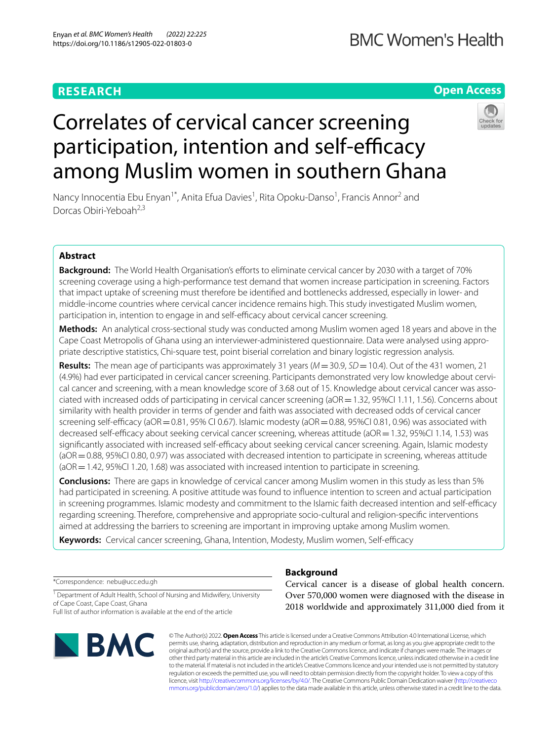# **RESEARCH**

# **Open Access**

# Correlates of cervical cancer screening participation, intention and self-efficacy among Muslim women in southern Ghana



Nancy Innocentia Ebu Enyan<sup>1\*</sup>, Anita Efua Davies<sup>1</sup>, Rita Opoku-Danso<sup>1</sup>, Francis Annor<sup>2</sup> and Dorcas Obiri‑Yeboah2,3

# **Abstract**

Background: The World Health Organisation's efforts to eliminate cervical cancer by 2030 with a target of 70% screening coverage using a high-performance test demand that women increase participation in screening. Factors that impact uptake of screening must therefore be identifed and bottlenecks addressed, especially in lower- and middle-income countries where cervical cancer incidence remains high. This study investigated Muslim women, participation in, intention to engage in and self-efficacy about cervical cancer screening.

**Methods:** An analytical cross-sectional study was conducted among Muslim women aged 18 years and above in the Cape Coast Metropolis of Ghana using an interviewer-administered questionnaire. Data were analysed using appropriate descriptive statistics, Chi-square test, point biserial correlation and binary logistic regression analysis.

**Results:** The mean age of participants was approximately 31 years (*M*=30.9, *SD*=10.4). Out of the 431 women, 21 (4.9%) had ever participated in cervical cancer screening. Participants demonstrated very low knowledge about cervical cancer and screening, with a mean knowledge score of 3.68 out of 15. Knowledge about cervical cancer was associated with increased odds of participating in cervical cancer screening (aOR=1.32, 95%CI 1.11, 1.56). Concerns about similarity with health provider in terms of gender and faith was associated with decreased odds of cervical cancer screening self-efficacy (aOR=0.81, 95% CI 0.67). Islamic modesty (aOR=0.88, 95%CI 0.81, 0.96) was associated with decreased self-efficacy about seeking cervical cancer screening, whereas attitude (aOR = 1.32, 95%CI 1.14, 1.53) was significantly associated with increased self-efficacy about seeking cervical cancer screening. Again, Islamic modesty (aOR = 0.88, 95%CI 0.80, 0.97) was associated with decreased intention to participate in screening, whereas attitude (aOR=1.42, 95%CI 1.20, 1.68) was associated with increased intention to participate in screening.

**Conclusions:** There are gaps in knowledge of cervical cancer among Muslim women in this study as less than 5% had participated in screening. A positive attitude was found to infuence intention to screen and actual participation in screening programmes. Islamic modesty and commitment to the Islamic faith decreased intention and self-efficacy regarding screening. Therefore, comprehensive and appropriate socio-cultural and religion-specifc interventions aimed at addressing the barriers to screening are important in improving uptake among Muslim women.

Keywords: Cervical cancer screening, Ghana, Intention, Modesty, Muslim women, Self-efficacy

\*Correspondence: nebu@ucc.edu.gh

<sup>1</sup> Department of Adult Health, School of Nursing and Midwifery, University of Cape Coast, Cape Coast, Ghana

Full list of author information is available at the end of the article



# **Background**

Cervical cancer is a disease of global health concern. Over 570,000 women were diagnosed with the disease in 2018 worldwide and approximately 311,000 died from it

© The Author(s) 2022. **Open Access** This article is licensed under a Creative Commons Attribution 4.0 International License, which permits use, sharing, adaptation, distribution and reproduction in any medium or format, as long as you give appropriate credit to the original author(s) and the source, provide a link to the Creative Commons licence, and indicate if changes were made. The images or other third party material in this article are included in the article's Creative Commons licence, unless indicated otherwise in a credit line to the material. If material is not included in the article's Creative Commons licence and your intended use is not permitted by statutory regulation or exceeds the permitted use, you will need to obtain permission directly from the copyright holder. To view a copy of this licence, visit [http://creativecommons.org/licenses/by/4.0/.](http://creativecommons.org/licenses/by/4.0/) The Creative Commons Public Domain Dedication waiver ([http://creativeco](http://creativecommons.org/publicdomain/zero/1.0/) [mmons.org/publicdomain/zero/1.0/](http://creativecommons.org/publicdomain/zero/1.0/)) applies to the data made available in this article, unless otherwise stated in a credit line to the data.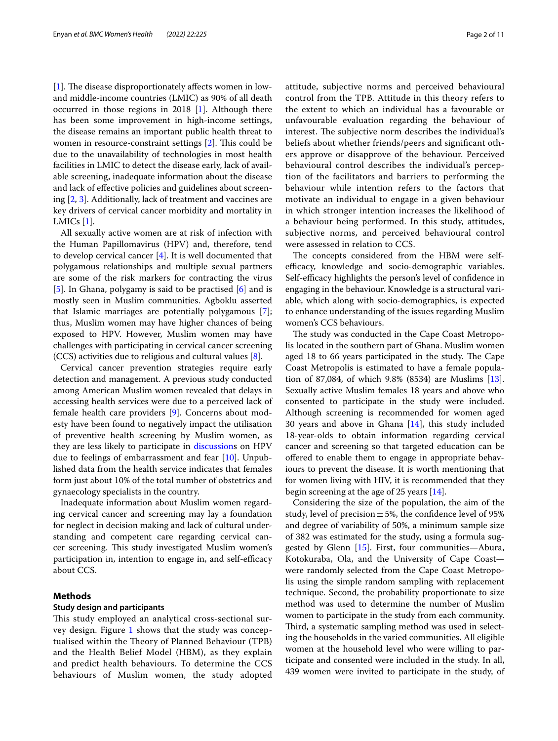$[1]$  $[1]$ . The disease disproportionately affects women in lowand middle-income countries (LMIC) as 90% of all death occurred in those regions in 2018 [\[1](#page-9-0)]. Although there has been some improvement in high-income settings, the disease remains an important public health threat to women in resource-constraint settings  $[2]$  $[2]$  $[2]$ . This could be due to the unavailability of technologies in most health facilities in LMIC to detect the disease early, lack of available screening, inadequate information about the disease and lack of efective policies and guidelines about screening [\[2,](#page-9-1) [3](#page-9-2)]. Additionally, lack of treatment and vaccines are key drivers of cervical cancer morbidity and mortality in LMICs [[1\]](#page-9-0).

All sexually active women are at risk of infection with the Human Papillomavirus (HPV) and, therefore, tend to develop cervical cancer [[4\]](#page-9-3). It is well documented that polygamous relationships and multiple sexual partners are some of the risk markers for contracting the virus [[5\]](#page-9-4). In Ghana, polygamy is said to be practised [\[6](#page-9-5)] and is mostly seen in Muslim communities. Agboklu asserted that Islamic marriages are potentially polygamous [\[7](#page-9-6)]; thus, Muslim women may have higher chances of being exposed to HPV. However, Muslim women may have challenges with participating in cervical cancer screening (CCS) activities due to religious and cultural values [\[8](#page-9-7)].

Cervical cancer prevention strategies require early detection and management. A previous study conducted among American Muslim women revealed that delays in accessing health services were due to a perceived lack of female health care providers [[9\]](#page-9-8). Concerns about modesty have been found to negatively impact the utilisation of preventive health screening by Muslim women, as they are less likely to participate in [discussion](#page-6-0)s on HPV due to feelings of embarrassment and fear [\[10](#page-9-9)]. Unpublished data from the health service indicates that females form just about 10% of the total number of obstetrics and gynaecology specialists in the country.

Inadequate information about Muslim women regarding cervical cancer and screening may lay a foundation for neglect in decision making and lack of cultural understanding and competent care regarding cervical cancer screening. This study investigated Muslim women's participation in, intention to engage in, and self-efficacy about CCS.

# **Methods**

#### **Study design and participants**

This study employed an analytical cross-sectional survey design. Figure [1](#page-2-0) shows that the study was conceptualised within the Theory of Planned Behaviour (TPB) and the Health Belief Model (HBM), as they explain and predict health behaviours. To determine the CCS behaviours of Muslim women, the study adopted attitude, subjective norms and perceived behavioural control from the TPB. Attitude in this theory refers to the extent to which an individual has a favourable or unfavourable evaluation regarding the behaviour of interest. The subjective norm describes the individual's beliefs about whether friends/peers and signifcant others approve or disapprove of the behaviour. Perceived behavioural control describes the individual's perception of the facilitators and barriers to performing the behaviour while intention refers to the factors that motivate an individual to engage in a given behaviour in which stronger intention increases the likelihood of a behaviour being performed. In this study, attitudes, subjective norms, and perceived behavioural control were assessed in relation to CCS.

The concepts considered from the HBM were selfefficacy, knowledge and socio-demographic variables. Self-efficacy highlights the person's level of confidence in engaging in the behaviour. Knowledge is a structural variable, which along with socio-demographics, is expected to enhance understanding of the issues regarding Muslim women's CCS behaviours.

The study was conducted in the Cape Coast Metropolis located in the southern part of Ghana. Muslim women aged 18 to 66 years participated in the study. The Cape Coast Metropolis is estimated to have a female population of 87,084, of which 9.8% (8534) are Muslims [\[13](#page-9-10)]. Sexually active Muslim females 18 years and above who consented to participate in the study were included. Although screening is recommended for women aged 30 years and above in Ghana [\[14\]](#page-9-11), this study included 18-year-olds to obtain information regarding cervical cancer and screening so that targeted education can be offered to enable them to engage in appropriate behaviours to prevent the disease. It is worth mentioning that for women living with HIV, it is recommended that they begin screening at the age of 25 years [[14](#page-9-11)].

Considering the size of the population, the aim of the study, level of precision  $\pm$  5%, the confidence level of 95% and degree of variability of 50%, a minimum sample size of 382 was estimated for the study, using a formula suggested by Glenn [[15\]](#page-9-12). First, four communities—Abura, Kotokuraba, Ola, and the University of Cape Coast were randomly selected from the Cape Coast Metropolis using the simple random sampling with replacement technique. Second, the probability proportionate to size method was used to determine the number of Muslim women to participate in the study from each community. Third, a systematic sampling method was used in selecting the households in the varied communities. All eligible women at the household level who were willing to participate and consented were included in the study. In all, 439 women were invited to participate in the study, of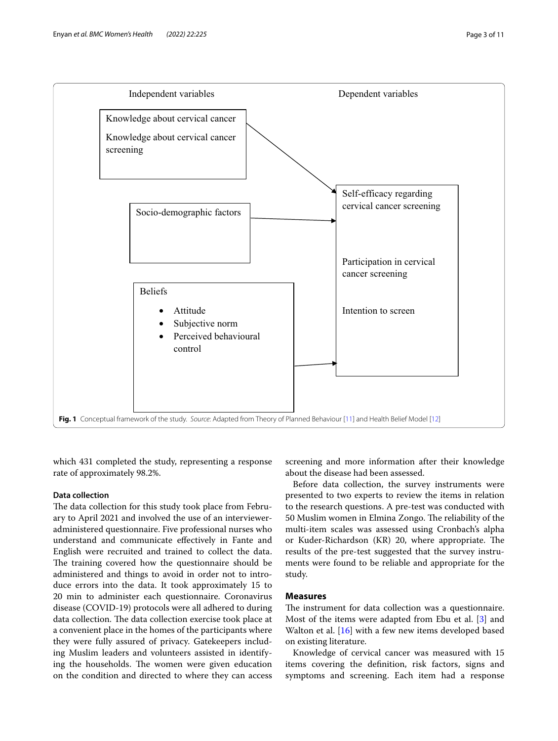

<span id="page-2-0"></span>which 431 completed the study, representing a response rate of approximately 98.2%.

# **Data collection**

The data collection for this study took place from February to April 2021 and involved the use of an intervieweradministered questionnaire. Five professional nurses who understand and communicate efectively in Fante and English were recruited and trained to collect the data. The training covered how the questionnaire should be administered and things to avoid in order not to introduce errors into the data. It took approximately 15 to 20 min to administer each questionnaire. Coronavirus disease (COVID-19) protocols were all adhered to during data collection. The data collection exercise took place at a convenient place in the homes of the participants where they were fully assured of privacy. Gatekeepers including Muslim leaders and volunteers assisted in identifying the households. The women were given education on the condition and directed to where they can access

screening and more information after their knowledge about the disease had been assessed.

Before data collection, the survey instruments were presented to two experts to review the items in relation to the research questions. A pre-test was conducted with 50 Muslim women in Elmina Zongo. The reliability of the multi-item scales was assessed using Cronbach's alpha or Kuder-Richardson (KR) 20, where appropriate. The results of the pre-test suggested that the survey instruments were found to be reliable and appropriate for the study.

# **Measures**

The instrument for data collection was a questionnaire. Most of the items were adapted from Ebu et al. [[3\]](#page-9-2) and Walton et al. [[16\]](#page-9-13) with a few new items developed based on existing literature.

Knowledge of cervical cancer was measured with 15 items covering the defnition, risk factors, signs and symptoms and screening. Each item had a response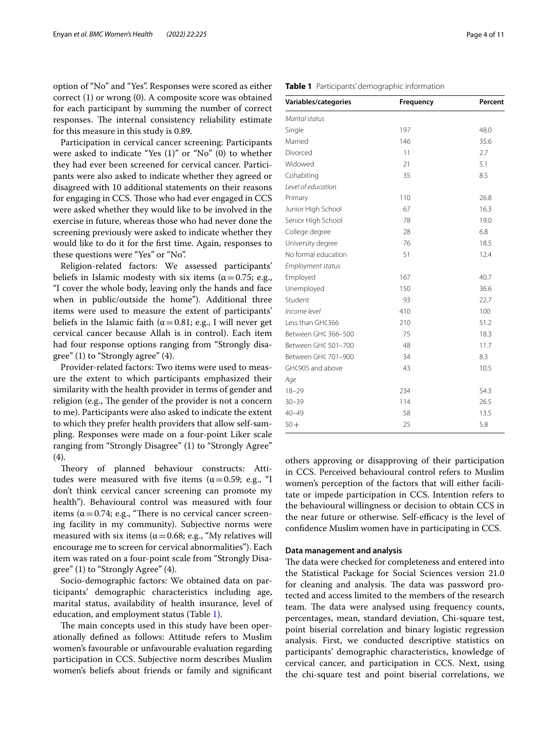option of "No" and "Yes". Responses were scored as either correct (1) or wrong (0). A composite score was obtained for each participant by summing the number of correct responses. The internal consistency reliability estimate for this measure in this study is 0.89.

Participation in cervical cancer screening: Participants were asked to indicate "Yes (1)" or "No" (0) to whether they had ever been screened for cervical cancer. Participants were also asked to indicate whether they agreed or disagreed with 10 additional statements on their reasons for engaging in CCS. Those who had ever engaged in CCS were asked whether they would like to be involved in the exercise in future, whereas those who had never done the screening previously were asked to indicate whether they would like to do it for the frst time. Again, responses to these questions were "Yes" or "No".

Religion-related factors: We assessed participants' beliefs in Islamic modesty with six items ( $\alpha$  = 0.75; e.g., "I cover the whole body, leaving only the hands and face when in public/outside the home"). Additional three items were used to measure the extent of participants' beliefs in the Islamic faith ( $\alpha$  = 0.81; e.g., I will never get cervical cancer because Allah is in control). Each item had four response options ranging from "Strongly disagree" (1) to "Strongly agree" (4).

Provider-related factors: Two items were used to measure the extent to which participants emphasized their similarity with the health provider in terms of gender and religion (e.g., The gender of the provider is not a concern to me). Participants were also asked to indicate the extent to which they prefer health providers that allow self-sampling. Responses were made on a four-point Liker scale ranging from "Strongly Disagree" (1) to "Strongly Agree" (4).

Theory of planned behaviour constructs: Attitudes were measured with five items ( $\alpha$  = 0.59; e.g., "I don't think cervical cancer screening can promote my health"). Behavioural control was measured with four items ( $\alpha$  = 0.74; e.g., "There is no cervical cancer screening facility in my community). Subjective norms were measured with six items ( $\alpha$  = 0.68; e.g., "My relatives will encourage me to screen for cervical abnormalities"). Each item was rated on a four-point scale from "Strongly Disagree" (1) to "Strongly Agree" (4).

Socio-demographic factors: We obtained data on participants' demographic characteristics including age, marital status, availability of health insurance, level of education, and employment status (Table [1](#page-3-0)).

The main concepts used in this study have been operationally defned as follows: Attitude refers to Muslim women's favourable or unfavourable evaluation regarding participation in CCS. Subjective norm describes Muslim women's beliefs about friends or family and signifcant

| Married             | 146 | 35.6 |
|---------------------|-----|------|
| Divorced            | 11  | 2.7  |
| Widowed             | 21  | 5.1  |
| Cohabiting          | 35  | 8.5  |
| Level of education  |     |      |
| Primary             | 110 | 26.8 |
| Junior High School  | 67  | 16.3 |
| Senior High School  | 78  | 19.0 |
| College degree      | 28  | 6.8  |
| University degree   | 76  | 18.5 |
| No formal education | 51  | 12.4 |
| Employment status   |     |      |
| Employed            | 167 | 40.7 |
| Unemployed          | 150 | 36.6 |
| Student             | 93  | 22.7 |
| Income level        | 410 | 100  |
| Less than GH¢366    | 210 | 51.2 |
| Between GH¢ 366-500 | 75  | 18.3 |
| Between GH¢ 501-700 | 48  | 11.7 |
| Between GH¢ 701-900 | 34  | 8.3  |
| GH¢905 and above    | 43  | 10.5 |
| Age                 |     |      |
| $18 - 29$           | 234 | 54.3 |
| $30 - 39$           | 114 | 26.5 |
| $40 - 49$           | 58  | 13.5 |
| $50 +$              | 25  | 5.8  |

others approving or disapproving of their participation in CCS. Perceived behavioural control refers to Muslim women's perception of the factors that will either facilitate or impede participation in CCS. Intention refers to the behavioural willingness or decision to obtain CCS in the near future or otherwise. Self-efficacy is the level of confdence Muslim women have in participating in CCS.

#### **Data management and analysis**

The data were checked for completeness and entered into the Statistical Package for Social Sciences version 21.0 for cleaning and analysis. The data was password protected and access limited to the members of the research team. The data were analysed using frequency counts, percentages, mean, standard deviation, Chi-square test, point biserial correlation and binary logistic regression analysis. First, we conducted descriptive statistics on participants' demographic characteristics, knowledge of cervical cancer, and participation in CCS. Next, using the chi-square test and point biserial correlations, we

#### <span id="page-3-0"></span>**Table 1** Participants' demographic information

*Marital status*

**Variables/categories Frequency Percent**

Single 28.0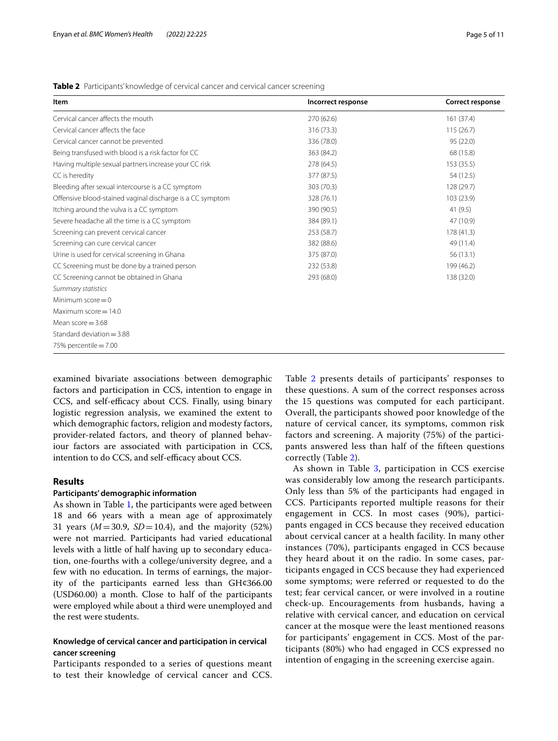<span id="page-4-0"></span>**Table 2** Participants' knowledge of cervical cancer and cervical cancer screening

| Item                                                      | Incorrect response | Correct response |
|-----------------------------------------------------------|--------------------|------------------|
| Cervical cancer affects the mouth                         | 270(62.6)          | 161 (37.4)       |
| Cervical cancer affects the face                          | 316 (73.3)         | 115(26.7)        |
| Cervical cancer cannot be prevented                       | 336 (78.0)         | 95 (22.0)        |
| Being transfused with blood is a risk factor for CC       | 363 (84.2)         | 68 (15.8)        |
| Having multiple sexual partners increase your CC risk     | 278 (64.5)         | 153 (35.5)       |
| CC is heredity                                            | 377 (87.5)         | 54 (12.5)        |
| Bleeding after sexual intercourse is a CC symptom         | 303 (70.3)         | 128 (29.7)       |
| Offensive blood-stained vaginal discharge is a CC symptom | 328 (76.1)         | 103 (23.9)       |
| Itching around the vulva is a CC symptom                  | 390 (90.5)         | 41 (9.5)         |
| Severe headache all the time is a CC symptom              | 384 (89.1)         | 47 (10.9)        |
| Screening can prevent cervical cancer                     | 253 (58.7)         | 178 (41.3)       |
| Screening can cure cervical cancer                        | 382 (88.6)         | 49 (11.4)        |
| Urine is used for cervical screening in Ghana             | 375 (87.0)         | 56(13.1)         |
| CC Screening must be done by a trained person             | 232 (53.8)         | 199 (46.2)       |
| CC Screening cannot be obtained in Ghana                  | 293 (68.0)         | 138 (32.0)       |
| Summary statistics                                        |                    |                  |
| Minimum score $= 0$                                       |                    |                  |
| Maximum score $= 14.0$                                    |                    |                  |
| Mean score $=$ 3.68                                       |                    |                  |
| Standard deviation $=$ 3.88                               |                    |                  |
| 75% percentile = $7.00$                                   |                    |                  |

examined bivariate associations between demographic factors and participation in CCS, intention to engage in CCS, and self-efficacy about CCS. Finally, using binary logistic regression analysis, we examined the extent to which demographic factors, religion and modesty factors, provider-related factors, and theory of planned behaviour factors are associated with participation in CCS, intention to do CCS, and self-efficacy about CCS.

### **Results**

#### **Participants' demographic information**

As shown in Table [1](#page-3-0), the participants were aged between 18 and 66 years with a mean age of approximately 31 years  $(M = 30.9, SD = 10.4)$ , and the majority (52%) were not married. Participants had varied educational levels with a little of half having up to secondary education, one-fourths with a college/university degree, and a few with no education. In terms of earnings, the majority of the participants earned less than GH¢366.00 (USD60.00) a month. Close to half of the participants were employed while about a third were unemployed and the rest were students.

#### **Knowledge of cervical cancer and participation in cervical cancer screening**

Participants responded to a series of questions meant to test their knowledge of cervical cancer and CCS. Table [2](#page-4-0) presents details of participants' responses to these questions. A sum of the correct responses across the 15 questions was computed for each participant. Overall, the participants showed poor knowledge of the nature of cervical cancer, its symptoms, common risk factors and screening. A majority (75%) of the participants answered less than half of the ffteen questions correctly (Table [2\)](#page-4-0).

As shown in Table [3](#page-5-0), participation in CCS exercise was considerably low among the research participants. Only less than 5% of the participants had engaged in CCS. Participants reported multiple reasons for their engagement in CCS. In most cases (90%), participants engaged in CCS because they received education about cervical cancer at a health facility. In many other instances (70%), participants engaged in CCS because they heard about it on the radio. In some cases, participants engaged in CCS because they had experienced some symptoms; were referred or requested to do the test; fear cervical cancer, or were involved in a routine check-up. Encouragements from husbands, having a relative with cervical cancer, and education on cervical cancer at the mosque were the least mentioned reasons for participants' engagement in CCS. Most of the participants (80%) who had engaged in CCS expressed no intention of engaging in the screening exercise again.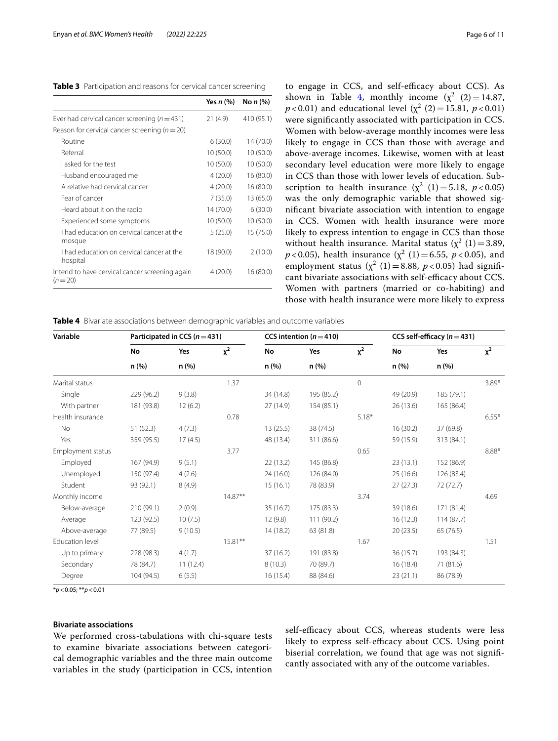<span id="page-5-0"></span>

| Table 3 Participation and reasons for cervical cancer screening |  |  |
|-----------------------------------------------------------------|--|--|
|                                                                 |  |  |

|                                                            | Yes $n$ $(\%)$ | No $n$ $\left(\% \right)$ |
|------------------------------------------------------------|----------------|---------------------------|
| Ever had cervical cancer screening ( $n = 431$ )           | 21 (4.9)       | 410 (95.1)                |
| Reason for cervical cancer screening ( $n = 20$ )          |                |                           |
| Routine                                                    | 6(30.0)        | 14 (70.0)                 |
| Referral                                                   | 10 (50.0)      | 10 (50.0)                 |
| Lasked for the test                                        | 10 (50.0)      | 10 (50.0)                 |
| Husband encouraged me                                      | 4(20.0)        | 16 (80.0)                 |
| A relative had cervical cancer                             | 4(20.0)        | 16 (80.0)                 |
| Fear of cancer                                             | 7(35.0)        | 13 (65.0)                 |
| Heard about it on the radio                                | 14 (70.0)      | 6(30.0)                   |
| Experienced some symptoms                                  | 10 (50.0)      | 10(50.0)                  |
| I had education on cervical cancer at the<br>mosque        | 5(25.0)        | 15 (75.0)                 |
| I had education on cervical cancer at the<br>hospital      | 18 (90.0)      | 2(10.0)                   |
| Intend to have cervical cancer screening again<br>$(n=20)$ | 4(20.0)        | 16(80.0)                  |

to engage in CCS, and self-efficacy about CCS). As shown in Table [4,](#page-5-1) monthly income  $(\chi^2 \text{ } (2) = 14.87,$  $p < 0.01$ ) and educational level ( $\chi^2$  (2) = 15.81,  $p < 0.01$ ) were signifcantly associated with participation in CCS. Women with below-average monthly incomes were less likely to engage in CCS than those with average and above-average incomes. Likewise, women with at least secondary level education were more likely to engage in CCS than those with lower levels of education. Subscription to health insurance  $(\chi^2 \text{ } (1) = 5.18, \ p < 0.05)$ was the only demographic variable that showed signifcant bivariate association with intention to engage in CCS. Women with health insurance were more likely to express intention to engage in CCS than those without health insurance. Marital status  $(\chi^2)(1) = 3.89$ , *p* < 0.05), health insurance ( $\chi^2$  (1) = 6.55, *p* < 0.05), and employment status  $(\chi^2(1) = 8.88, p < 0.05)$  had significant bivariate associations with self-efficacy about CCS. Women with partners (married or co-habiting) and those with health insurance were more likely to express

<span id="page-5-1"></span>**Table 4** Bivariate associations between demographic variables and outcome variables

| Variable          | Participated in CCS ( $n = 431$ ) |          |            | CCS intention ( $n = 410$ ) |            |             | CCS self-efficacy ( $n = 431$ ) |            |         |
|-------------------|-----------------------------------|----------|------------|-----------------------------|------------|-------------|---------------------------------|------------|---------|
|                   | No                                | Yes      | $x^2$      | No                          | Yes        | $x^2$       | No                              | Yes        | $x^2$   |
|                   | n (%)                             | n(%)     |            | n(%)                        | n(%)       |             | n(%)                            | n (%)      |         |
| Marital status    |                                   |          | 1.37       |                             |            | $\mathbf 0$ |                                 |            | $3.89*$ |
| Single            | 229 (96.2)                        | 9(3.8)   |            | 34 (14.8)                   | 195 (85.2) |             | 49 (20.9)                       | 185 (79.1) |         |
| With partner      | 181 (93.8)                        | 12(6.2)  |            | 27 (14.9)                   | 154 (85.1) |             | 26 (13.6)                       | 165 (86.4) |         |
| Health insurance  |                                   |          | 0.78       |                             |            | $5.18*$     |                                 |            | $6.55*$ |
| No                | 51(52.3)                          | 4(7.3)   |            | 13(25.5)                    | 38 (74.5)  |             | 16(30.2)                        | 37 (69.8)  |         |
| Yes               | 359 (95.5)                        | 17(4.5)  |            | 48 (13.4)                   | 311 (86.6) |             | 59 (15.9)                       | 313 (84.1) |         |
| Employment status |                                   |          | 3.77       |                             |            | 0.65        |                                 |            | 8.88*   |
| Employed          | 167 (94.9)                        | 9(5.1)   |            | 22 (13.2)                   | 145 (86.8) |             | 23(13.1)                        | 152 (86.9) |         |
| Unemployed        | 150 (97.4)                        | 4(2.6)   |            | 24 (16.0)                   | 126 (84.0) |             | 25(16.6)                        | 126 (83.4) |         |
| Student           | 93 (92.1)                         | 8(4.9)   |            | 15(16.1)                    | 78 (83.9)  |             | 27(27.3)                        | 72 (72.7)  |         |
| Monthly income    |                                   |          | $14.87**$  |                             |            | 3.74        |                                 |            | 4.69    |
| Below-average     | 210 (99.1)                        | 2(0.9)   |            | 35(16.7)                    | 175 (83.3) |             | 39 (18.6)                       | 171 (81.4) |         |
| Average           | 123 (92.5)                        | 10(7.5)  |            | 12(9.8)                     | 111 (90.2) |             | 16(12.3)                        | 114 (87.7) |         |
| Above-average     | 77 (89.5)                         | 9(10.5)  |            | 14(18.2)                    | 63 (81.8)  |             | 20(23.5)                        | 65 (76.5)  |         |
| Education level   |                                   |          | $15.81***$ |                             |            | 1.67        |                                 |            | 1.51    |
| Up to primary     | 228 (98.3)                        | 4(1.7)   |            | 37 (16.2)                   | 191 (83.8) |             | 36(15.7)                        | 193 (84.3) |         |
| Secondary         | 78 (84.7)                         | 11(12.4) |            | 8(10.3)                     | 70 (89.7)  |             | 16(18.4)                        | 71(81.6)   |         |
| Degree            | 104 (94.5)                        | 6(5.5)   |            | 16(15.4)                    | 88 (84.6)  |             | 23(21.1)                        | 86 (78.9)  |         |

\**p*<0.05; \*\**p*<0.01

#### **Bivariate associations**

We performed cross-tabulations with chi-square tests to examine bivariate associations between categorical demographic variables and the three main outcome variables in the study (participation in CCS, intention self-efficacy about CCS, whereas students were less likely to express self-efficacy about CCS. Using point biserial correlation, we found that age was not signifcantly associated with any of the outcome variables.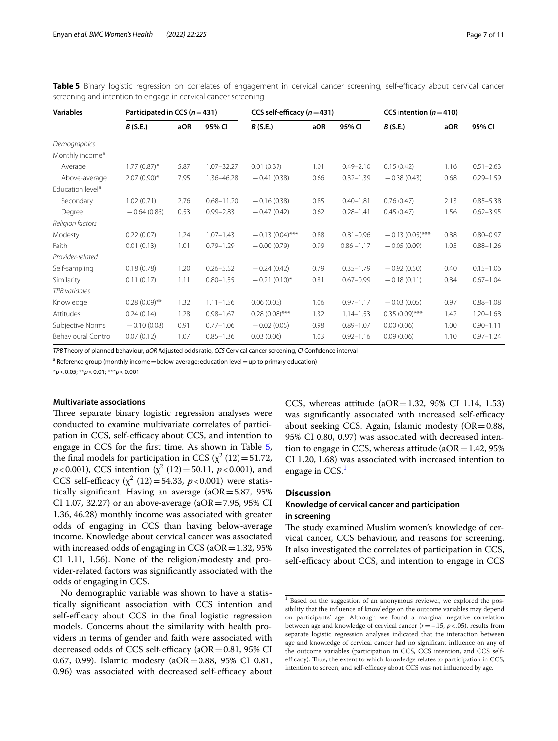| Variables                    | Participated in CCS ( $n = 431$ ) |      |                | CCS self-efficacy $(n=431)$ |      |               | CCS intention ( $n = 410$ ) |      |               |
|------------------------------|-----------------------------------|------|----------------|-----------------------------|------|---------------|-----------------------------|------|---------------|
|                              | B(S.E.)                           | aOR  | 95% CI         | B(S.E.)                     | aOR  | 95% CI        | B(S.E.)                     | aOR  | 95% CI        |
| Demographics                 |                                   |      |                |                             |      |               |                             |      |               |
| Monthly income <sup>a</sup>  |                                   |      |                |                             |      |               |                             |      |               |
| Average                      | $1.77(0.87)^{*}$                  | 5.87 | $1.07 - 32.27$ | 0.01(0.37)                  | 1.01 | $0.49 - 2.10$ | 0.15(0.42)                  | 1.16 | $0.51 - 2.63$ |
| Above-average                | $2.07(0.90)$ *                    | 7.95 | 1.36-46.28     | $-0.41(0.38)$               | 0.66 | $0.32 - 1.39$ | $-0.38(0.43)$               | 0.68 | $0.29 - 1.59$ |
| Education level <sup>a</sup> |                                   |      |                |                             |      |               |                             |      |               |
| Secondary                    | 1.02(0.71)                        | 2.76 | $0.68 - 11.20$ | $-0.16(0.38)$               | 0.85 | $0.40 - 1.81$ | 0.76(0.47)                  | 2.13 | $0.85 - 5.38$ |
| Degree                       | $-0.64(0.86)$                     | 0.53 | $0.99 - 2.83$  | $-0.47(0.42)$               | 0.62 | $0.28 - 1.41$ | 0.45(0.47)                  | 1.56 | $0.62 - 3.95$ |
| Religion factors             |                                   |      |                |                             |      |               |                             |      |               |
| Modesty                      | 0.22(0.07)                        | 1.24 | $1.07 - 1.43$  | $-0.13(0.04)$ ***           | 0.88 | $0.81 - 0.96$ | $-0.13(0.05)$ ***           | 0.88 | $0.80 - 0.97$ |
| Faith                        | 0.01(0.13)                        | 1.01 | $0.79 - 1.29$  | $-0.00(0.79)$               | 0.99 | $0.86 - 1.17$ | $-0.05(0.09)$               | 1.05 | $0.88 - 1.26$ |
| Provider-related             |                                   |      |                |                             |      |               |                             |      |               |
| Self-sampling                | 0.18(0.78)                        | 1.20 | $0.26 - 5.52$  | $-0.24(0.42)$               | 0.79 | $0.35 - 1.79$ | $-0.92(0.50)$               | 0.40 | $0.15 - 1.06$ |
| Similarity                   | 0.11(0.17)                        | 1.11 | $0.80 - 1.55$  | $-0.21(0.10)^{*}$           | 0.81 | $0.67 - 0.99$ | $-0.18(0.11)$               | 0.84 | $0.67 - 1.04$ |
| TPB variables                |                                   |      |                |                             |      |               |                             |      |               |
| Knowledge                    | $0.28(0.09)$ **                   | 1.32 | $1.11 - 1.56$  | 0.06(0.05)                  | 1.06 | $0.97 - 1.17$ | $-0.03(0.05)$               | 0.97 | $0.88 - 1.08$ |
| Attitudes                    | 0.24(0.14)                        | 1.28 | $0.98 - 1.67$  | $0.28(0.08)$ ***            | 1.32 | $1.14 - 1.53$ | $0.35(0.09)$ ***            | 1.42 | $1.20 - 1.68$ |
| Subjective Norms             | $-0.10(0.08)$                     | 0.91 | $0.77 - 1.06$  | $-0.02(0.05)$               | 0.98 | $0.89 - 1.07$ | 0.00(0.06)                  | 1.00 | $0.90 - 1.11$ |
| Behavioural Control          | 0.07(0.12)                        | 1.07 | $0.85 - 1.36$  | 0.03(0.06)                  | 1.03 | $0.92 - 1.16$ | 0.09(0.06)                  | 1.10 | $0.97 - 1.24$ |

<span id="page-6-1"></span>Table 5 Binary logistic regression on correlates of engagement in cervical cancer screening, self-efficacy about cervical cancer screening and intention to engage in cervical cancer screening

*TPB* Theory of planned behaviour, *aOR* Adjusted odds ratio, *CCS* Cervical cancer screening, *CI* Confdence interval

 $^{\rm a}$  Reference group (monthly income  $=$  below-average; education level  $=$  up to primary education)

\**p*<0.05; \*\**p*<0.01; \*\*\**p*<0.001

#### **Multivariate associations**

Three separate binary logistic regression analyses were conducted to examine multivariate correlates of participation in CCS, self-efficacy about CCS, and intention to engage in CCS for the frst time. As shown in Table [5](#page-6-1), the final models for participation in CCS ( $\chi^2$  (12) = 51.72,  $p < 0.001$ ), CCS intention ( $\chi^2$  (12) = 50.11,  $p < 0.001$ ), and CCS self-efficacy  $(\chi^2 (12) = 54.33, p < 0.001)$  were statistically significant. Having an average ( $aOR = 5.87$ ,  $95\%$ CI 1.07, 32.27) or an above-average (aOR=7.95, 95% CI 1.36, 46.28) monthly income was associated with greater odds of engaging in CCS than having below-average income. Knowledge about cervical cancer was associated with increased odds of engaging in CCS ( $aOR = 1.32$ , 95%) CI 1.11, 1.56). None of the religion/modesty and provider-related factors was signifcantly associated with the odds of engaging in CCS.

No demographic variable was shown to have a statistically signifcant association with CCS intention and self-efficacy about CCS in the final logistic regression models. Concerns about the similarity with health providers in terms of gender and faith were associated with decreased odds of CCS self-efficacy ( $aOR = 0.81$ , 95% CI 0.67, 0.99). Islamic modesty (aOR=0.88, 95% CI 0.81, 0.96) was associated with decreased self-efficacy about CCS, whereas attitude ( $aOR = 1.32$ , 95% CI 1.14, 1.53) was significantly associated with increased self-efficacy about seeking CCS. Again, Islamic modesty ( $OR = 0.88$ , 95% CI 0.80, 0.97) was associated with decreased intention to engage in CCS, whereas attitude ( $aOR = 1.42$ , 95% CI 1.20, 1.68) was associated with increased intention to engage in  $CCS<sup>1</sup>$  $CCS<sup>1</sup>$  $CCS<sup>1</sup>$ 

#### **Discussion**

# <span id="page-6-0"></span>**Knowledge of cervical cancer and participation in screening**

The study examined Muslim women's knowledge of cervical cancer, CCS behaviour, and reasons for screening. It also investigated the correlates of participation in CCS, self-efficacy about CCS, and intention to engage in CCS

<span id="page-6-2"></span> $1$  Based on the suggestion of an anonymous reviewer, we explored the possibility that the infuence of knowledge on the outcome variables may depend on participants' age. Although we found a marginal negative correlation between age and knowledge of cervical cancer (*r*=–.15, *p*<.05), results from separate logistic regression analyses indicated that the interaction between age and knowledge of cervical cancer had no signifcant infuence on any of the outcome variables (participation in CCS, CCS intention, and CCS selfefficacy). Thus, the extent to which knowledge relates to participation in CCS, intention to screen, and self-efficacy about CCS was not influenced by age.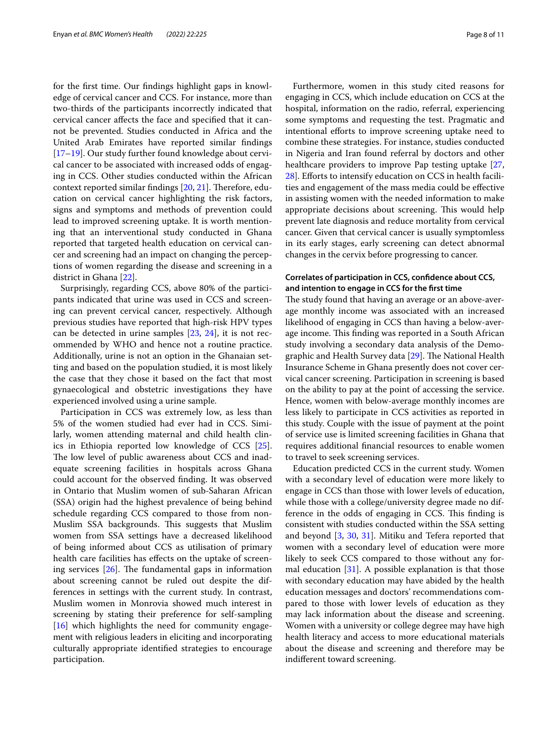for the frst time. Our fndings highlight gaps in knowledge of cervical cancer and CCS. For instance, more than two-thirds of the participants incorrectly indicated that cervical cancer afects the face and specifed that it cannot be prevented. Studies conducted in Africa and the United Arab Emirates have reported similar fndings [[17–](#page-9-16)[19](#page-9-17)]. Our study further found knowledge about cervical cancer to be associated with increased odds of engaging in CCS. Other studies conducted within the African context reported similar findings [[20,](#page-9-18) [21\]](#page-9-19). Therefore, education on cervical cancer highlighting the risk factors, signs and symptoms and methods of prevention could lead to improved screening uptake. It is worth mentioning that an interventional study conducted in Ghana reported that targeted health education on cervical cancer and screening had an impact on changing the perceptions of women regarding the disease and screening in a district in Ghana [\[22](#page-9-20)].

Surprisingly, regarding CCS, above 80% of the participants indicated that urine was used in CCS and screening can prevent cervical cancer, respectively. Although previous studies have reported that high-risk HPV types can be detected in urine samples [[23,](#page-9-21) [24](#page-9-22)], it is not recommended by WHO and hence not a routine practice. Additionally, urine is not an option in the Ghanaian setting and based on the population studied, it is most likely the case that they chose it based on the fact that most gynaecological and obstetric investigations they have experienced involved using a urine sample.

Participation in CCS was extremely low, as less than 5% of the women studied had ever had in CCS. Similarly, women attending maternal and child health clinics in Ethiopia reported low knowledge of CCS [\[25](#page-9-23)]. The low level of public awareness about CCS and inadequate screening facilities in hospitals across Ghana could account for the observed fnding. It was observed in Ontario that Muslim women of sub-Saharan African (SSA) origin had the highest prevalence of being behind schedule regarding CCS compared to those from non-Muslim SSA backgrounds. This suggests that Muslim women from SSA settings have a decreased likelihood of being informed about CCS as utilisation of primary health care facilities has effects on the uptake of screening services  $[26]$  $[26]$ . The fundamental gaps in information about screening cannot be ruled out despite the differences in settings with the current study. In contrast, Muslim women in Monrovia showed much interest in screening by stating their preference for self-sampling [[16\]](#page-9-13) which highlights the need for community engagement with religious leaders in eliciting and incorporating culturally appropriate identifed strategies to encourage participation.

Furthermore, women in this study cited reasons for engaging in CCS, which include education on CCS at the hospital, information on the radio, referral, experiencing some symptoms and requesting the test. Pragmatic and intentional eforts to improve screening uptake need to combine these strategies. For instance, studies conducted in Nigeria and Iran found referral by doctors and other healthcare providers to improve Pap testing uptake [[27](#page-9-25), [28\]](#page-9-26). Efforts to intensify education on CCS in health facilities and engagement of the mass media could be efective in assisting women with the needed information to make appropriate decisions about screening. This would help prevent late diagnosis and reduce mortality from cervical cancer. Given that cervical cancer is usually symptomless in its early stages, early screening can detect abnormal changes in the cervix before progressing to cancer.

## **Correlates of participation in CCS, confdence about CCS, and intention to engage in CCS for the frst time**

The study found that having an average or an above-average monthly income was associated with an increased likelihood of engaging in CCS than having a below-average income. This finding was reported in a South African study involving a secondary data analysis of the Demo-graphic and Health Survey data [\[29](#page-9-27)]. The National Health Insurance Scheme in Ghana presently does not cover cervical cancer screening. Participation in screening is based on the ability to pay at the point of accessing the service. Hence, women with below-average monthly incomes are less likely to participate in CCS activities as reported in this study. Couple with the issue of payment at the point of service use is limited screening facilities in Ghana that requires additional fnancial resources to enable women to travel to seek screening services.

Education predicted CCS in the current study. Women with a secondary level of education were more likely to engage in CCS than those with lower levels of education, while those with a college/university degree made no difference in the odds of engaging in CCS. This finding is consistent with studies conducted within the SSA setting and beyond [\[3](#page-9-2), [30](#page-9-28), [31\]](#page-10-0). Mitiku and Tefera reported that women with a secondary level of education were more likely to seek CCS compared to those without any formal education [\[31](#page-10-0)]. A possible explanation is that those with secondary education may have abided by the health education messages and doctors' recommendations compared to those with lower levels of education as they may lack information about the disease and screening. Women with a university or college degree may have high health literacy and access to more educational materials about the disease and screening and therefore may be indiferent toward screening.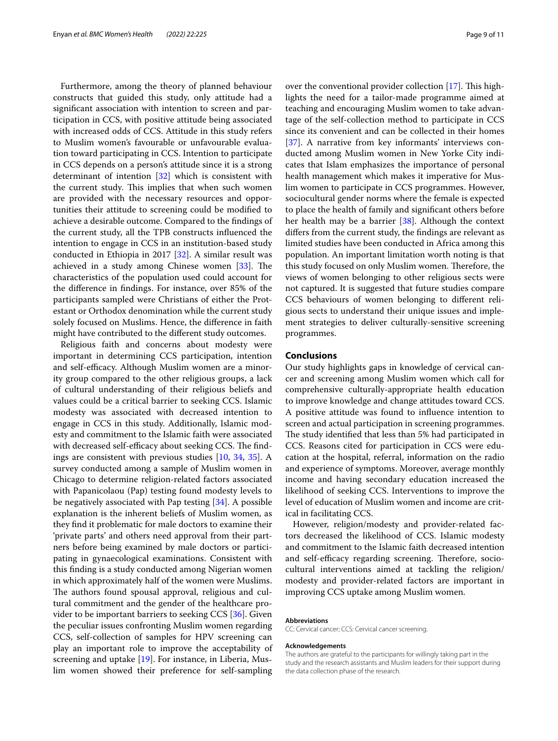Furthermore, among the theory of planned behaviour constructs that guided this study, only attitude had a signifcant association with intention to screen and participation in CCS, with positive attitude being associated with increased odds of CCS. Attitude in this study refers to Muslim women's favourable or unfavourable evaluation toward participating in CCS. Intention to participate in CCS depends on a person's attitude since it is a strong determinant of intention [\[32\]](#page-10-1) which is consistent with the current study. This implies that when such women are provided with the necessary resources and opportunities their attitude to screening could be modifed to achieve a desirable outcome. Compared to the fndings of the current study, all the TPB constructs infuenced the intention to engage in CCS in an institution-based study conducted in Ethiopia in 2017 [[32\]](#page-10-1). A similar result was achieved in a study among Chinese women  $[33]$ . The characteristics of the population used could account for the diference in fndings. For instance, over 85% of the participants sampled were Christians of either the Protestant or Orthodox denomination while the current study solely focused on Muslims. Hence, the diference in faith might have contributed to the diferent study outcomes.

Religious faith and concerns about modesty were important in determining CCS participation, intention and self-efficacy. Although Muslim women are a minority group compared to the other religious groups, a lack of cultural understanding of their religious beliefs and values could be a critical barrier to seeking CCS. Islamic modesty was associated with decreased intention to engage in CCS in this study. Additionally, Islamic modesty and commitment to the Islamic faith were associated with decreased self-efficacy about seeking CCS. The findings are consistent with previous studies [[10,](#page-9-9) [34](#page-10-3), [35\]](#page-10-4). A survey conducted among a sample of Muslim women in Chicago to determine religion-related factors associated with Papanicolaou (Pap) testing found modesty levels to be negatively associated with Pap testing [[34\]](#page-10-3). A possible explanation is the inherent beliefs of Muslim women, as they fnd it problematic for male doctors to examine their 'private parts' and others need approval from their partners before being examined by male doctors or participating in gynaecological examinations. Consistent with this fnding is a study conducted among Nigerian women in which approximately half of the women were Muslims. The authors found spousal approval, religious and cultural commitment and the gender of the healthcare provider to be important barriers to seeking CCS [[36](#page-10-5)]. Given the peculiar issues confronting Muslim women regarding CCS, self-collection of samples for HPV screening can play an important role to improve the acceptability of screening and uptake [\[19](#page-9-17)]. For instance, in Liberia, Muslim women showed their preference for self-sampling over the conventional provider collection  $[17]$ . This highlights the need for a tailor-made programme aimed at teaching and encouraging Muslim women to take advantage of the self-collection method to participate in CCS since its convenient and can be collected in their homes [[37\]](#page-10-6). A narrative from key informants' interviews conducted among Muslim women in New Yorke City indicates that Islam emphasizes the importance of personal health management which makes it imperative for Muslim women to participate in CCS programmes. However, sociocultural gender norms where the female is expected to place the health of family and signifcant others before her health may be a barrier [[38](#page-10-7)]. Although the context difers from the current study, the fndings are relevant as limited studies have been conducted in Africa among this population. An important limitation worth noting is that this study focused on only Muslim women. Therefore, the views of women belonging to other religious sects were not captured. It is suggested that future studies compare CCS behaviours of women belonging to diferent religious sects to understand their unique issues and implement strategies to deliver culturally-sensitive screening programmes.

#### **Conclusions**

Our study highlights gaps in knowledge of cervical cancer and screening among Muslim women which call for comprehensive culturally-appropriate health education to improve knowledge and change attitudes toward CCS. A positive attitude was found to infuence intention to screen and actual participation in screening programmes. The study identified that less than 5% had participated in CCS. Reasons cited for participation in CCS were education at the hospital, referral, information on the radio and experience of symptoms. Moreover, average monthly income and having secondary education increased the likelihood of seeking CCS. Interventions to improve the level of education of Muslim women and income are critical in facilitating CCS.

However, religion/modesty and provider-related factors decreased the likelihood of CCS. Islamic modesty and commitment to the Islamic faith decreased intention and self-efficacy regarding screening. Therefore, sociocultural interventions aimed at tackling the religion/ modesty and provider-related factors are important in improving CCS uptake among Muslim women.

#### **Abbreviations**

CC: Cervical cancer; CCS: Cervical cancer screening.

#### **Acknowledgements**

The authors are grateful to the participants for willingly taking part in the study and the research assistants and Muslim leaders for their support during the data collection phase of the research.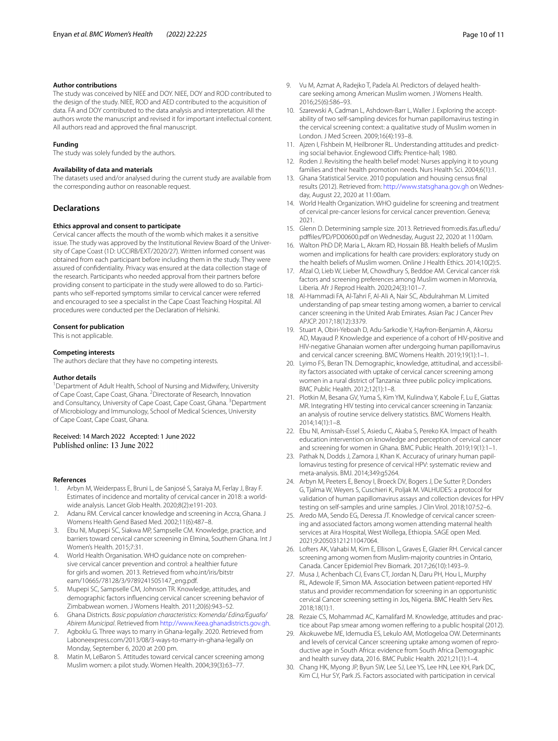#### **Author contributions**

The study was conceived by NIEE and DOY. NIEE, DOY and ROD contributed to the design of the study. NIEE, ROD and AED contributed to the acquisition of data. FA and DOY contributed to the data analysis and interpretation. All the authors wrote the manuscript and revised it for important intellectual content. All authors read and approved the fnal manuscript.

#### **Funding**

The study was solely funded by the authors.

#### **Availability of data and materials**

The datasets used and/or analysed during the current study are available from the corresponding author on reasonable request.

#### **Declarations**

#### **Ethics approval and consent to participate**

Cervical cancer afects the mouth of the womb which makes it a sensitive issue. The study was approved by the Institutional Review Board of the University of Cape Coast (1D: UCCIRB/EXT/2020/27). Written informed consent was obtained from each participant before including them in the study. They were assured of confdentiality. Privacy was ensured at the data collection stage of the research. Participants who needed approval from their partners before providing consent to participate in the study were allowed to do so. Participants who self-reported symptoms similar to cervical cancer were referred and encouraged to see a specialist in the Cape Coast Teaching Hospital. All procedures were conducted per the Declaration of Helsinki.

#### **Consent for publication**

This is not applicable.

#### **Competing interests**

The authors declare that they have no competing interests.

#### **Author details**

<sup>1</sup> Department of Adult Health, School of Nursing and Midwifery, University of Cape Coast, Cape Coast, Ghana. <sup>2</sup> Directorate of Research, Innovation and Consultancy, University of Cape Coast, Cape Coast, Ghana. <sup>3</sup> Department of Microbiology and Immunology, School of Medical Sciences, University of Cape Coast, Cape Coast, Ghana.

# Received: 14 March 2022 Accepted: 1 June 2022

#### **References**

- <span id="page-9-0"></span>1. Arbyn M, Weiderpass E, Bruni L, de Sanjosé S, Saraiya M, Ferlay J, Bray F. Estimates of incidence and mortality of cervical cancer in 2018: a worldwide analysis. Lancet Glob Health. 2020;8(2):e191-203.
- <span id="page-9-1"></span>2. Adanu RM. Cervical cancer knowledge and screening in Accra, Ghana. J Womens Health Gend Based Med. 2002;11(6):487–8.
- <span id="page-9-2"></span>3. Ebu NI, Mupepi SC, Siakwa MP, Sampselle CM. Knowledge, practice, and barriers toward cervical cancer screening in Elmina, Southern Ghana. Int J Women's Health. 2015;7:31.
- <span id="page-9-3"></span>4. World Health Organisation. WHO guidance note on comprehensive cervical cancer prevention and control: a healthier future for girls and women*.* 2013. Retrieved from who.int/iris/bitstr eam/10665/78128/3/9789241505147\_eng.pdf.
- <span id="page-9-4"></span>5. Mupepi SC, Sampselle CM, Johnson TR. Knowledge, attitudes, and demographic factors infuencing cervical cancer screening behavior of Zimbabwean women. J Womens Health. 2011;20(6):943–52.
- <span id="page-9-5"></span>6. Ghana Districts. *Basic population characteristics: Komenda/ Edina/Eguafo/ Abirem Municipal*. Retrieved from<http://www.Keea.ghanadistricts.gov.gh>.
- <span id="page-9-6"></span>7. Agboklu G. Three ways to marry in Ghana-legally. 2020. Retrieved from Laboneexpress.com/2013/08/3-ways-to-marry-in-ghana-legally on Monday, September 6, 2020 at 2:00 pm.
- <span id="page-9-7"></span>Matin M, LeBaron S. Attitudes toward cervical cancer screening among Muslim women: a pilot study. Women Health. 2004;39(3):63–77.
- <span id="page-9-8"></span>9. Vu M, Azmat A, Radejko T, Padela AI. Predictors of delayed healthcare seeking among American Muslim women. J Womens Health. 2016;25(6):586–93.
- <span id="page-9-9"></span>10. Szarewski A, Cadman L, Ashdown-Barr L, Waller J. Exploring the acceptability of two self-sampling devices for human papillomavirus testing in the cervical screening context: a qualitative study of Muslim women in London. J Med Screen. 2009;16(4):193–8.
- <span id="page-9-14"></span>11. Ajzen I, Fishbein M, Heilbroner RL. Understanding attitudes and predicting social behavior. Englewood Clifs: Prentice-hall; 1980.
- <span id="page-9-15"></span>12. Roden J. Revisiting the health belief model: Nurses applying it to young families and their health promotion needs. Nurs Health Sci. 2004;6(1):1.
- <span id="page-9-10"></span>13. Ghana Statistical Service. 2010 population and housing census fnal results (2012). Retrieved from:<http://www.statsghana.gov.gh>on Wednesday, August 22, 2020 at 11:00am.
- <span id="page-9-11"></span>14. World Health Organization. WHO guideline for screening and treatment of cervical pre-cancer lesions for cervical cancer prevention. Geneva; 2021.
- <span id="page-9-12"></span>15. Glenn D. Determining sample size*.* 2013. Retrieved from:edis.ifas.uf.edu/ pdfles/PD/PD00600.pdf on Wednesday, August 22, 2020 at 11:00am.
- <span id="page-9-13"></span>16. Walton PhD DP, Maria L, Akram RD, Hossain BB. Health beliefs of Muslim women and implications for health care providers: exploratory study on the health beliefs of Muslim women. Online J Health Ethics. 2014;10(2):5.
- <span id="page-9-16"></span>17. Afzal O, Lieb W, Lieber M, Chowdhury S, Beddoe AM. Cervical cancer risk factors and screening preferences among Muslim women in Monrovia, Liberia. Afr J Reprod Health. 2020;24(3):101–7.
- 18. Al-Hammadi FA, Al-Tahri F, Al-Ali A, Nair SC, Abdulrahman M. Limited understanding of pap smear testing among women, a barrier to cervical cancer screening in the United Arab Emirates. Asian Pac J Cancer Prev APJCP. 2017;18(12):3379.
- <span id="page-9-17"></span>19. Stuart A, Obiri-Yeboah D, Adu-Sarkodie Y, Hayfron-Benjamin A, Akorsu AD, Mayaud P. Knowledge and experience of a cohort of HIV-positive and HIV-negative Ghanaian women after undergoing human papillomavirus and cervical cancer screening. BMC Womens Health. 2019;19(1):1–1.
- <span id="page-9-18"></span>20. Lyimo FS, Beran TN. Demographic, knowledge, attitudinal, and accessibility factors associated with uptake of cervical cancer screening among women in a rural district of Tanzania: three public policy implications. BMC Public Health. 2012;12(1):1–8.
- <span id="page-9-19"></span>21. Plotkin M, Besana GV, Yuma S, Kim YM, Kulindwa Y, Kabole F, Lu E, Giattas MR. Integrating HIV testing into cervical cancer screening in Tanzania: an analysis of routine service delivery statistics. BMC Womens Health. 2014;14(1):1–8.
- <span id="page-9-20"></span>22. Ebu NI, Amissah-Essel S, Asiedu C, Akaba S, Pereko KA. Impact of health education intervention on knowledge and perception of cervical cancer and screening for women in Ghana. BMC Public Health. 2019;19(1):1–1.
- <span id="page-9-21"></span>23. Pathak N, Dodds J, Zamora J, Khan K. Accuracy of urinary human papillomavirus testing for presence of cervical HPV: systematic review and meta-analysis. BMJ. 2014;349:g5264.
- <span id="page-9-22"></span>24. Arbyn M, Peeters E, Benoy I, Broeck DV, Bogers J, De Sutter P, Donders G, Tjalma W, Weyers S, Cuschieri K, Poljak M. VALHUDES: a protocol for validation of human papillomavirus assays and collection devices for HPV testing on self-samples and urine samples. J Clin Virol. 2018;107:52–6.
- <span id="page-9-23"></span>25. Aredo MA, Sendo EG, Deressa JT. Knowledge of cervical cancer screening and associated factors among women attending maternal health services at Aira Hospital, West Wollega, Ethiopia. SAGE open Med. 2021;9:20503121211047064.
- <span id="page-9-24"></span>26. Lofters AK, Vahabi M, Kim E, Ellison L, Graves E, Glazier RH. Cervical cancer screening among women from Muslim-majority countries in Ontario, Canada. Cancer Epidemiol Prev Biomark. 2017;26(10):1493–9.
- <span id="page-9-25"></span>27. Musa J, Achenbach CJ, Evans CT, Jordan N, Daru PH, Hou L, Murphy RL, Adewole IF, Simon MA. Association between patient-reported HIV status and provider recommendation for screening in an opportunistic cervical Cancer screening setting in Jos, Nigeria. BMC Health Serv Res. 2018;18(1):1.
- <span id="page-9-26"></span>28. Rezaie CS, Mohammad AC, Kamalifard M. Knowledge, attitudes and practice about Pap smear among women reffering to a public hospital (2012).
- <span id="page-9-27"></span>29. Akokuwebe ME, Idemudia ES, Lekulo AM, Motlogeloa OW. Determinants and levels of cervical Cancer screening uptake among women of reproductive age in South Africa: evidence from South Africa Demographic and health survey data, 2016. BMC Public Health. 2021;21(1):1–4.
- <span id="page-9-28"></span>30. Chang HK, Myong JP, Byun SW, Lee SJ, Lee YS, Lee HN, Lee KH, Park DC, Kim CJ, Hur SY, Park JS. Factors associated with participation in cervical